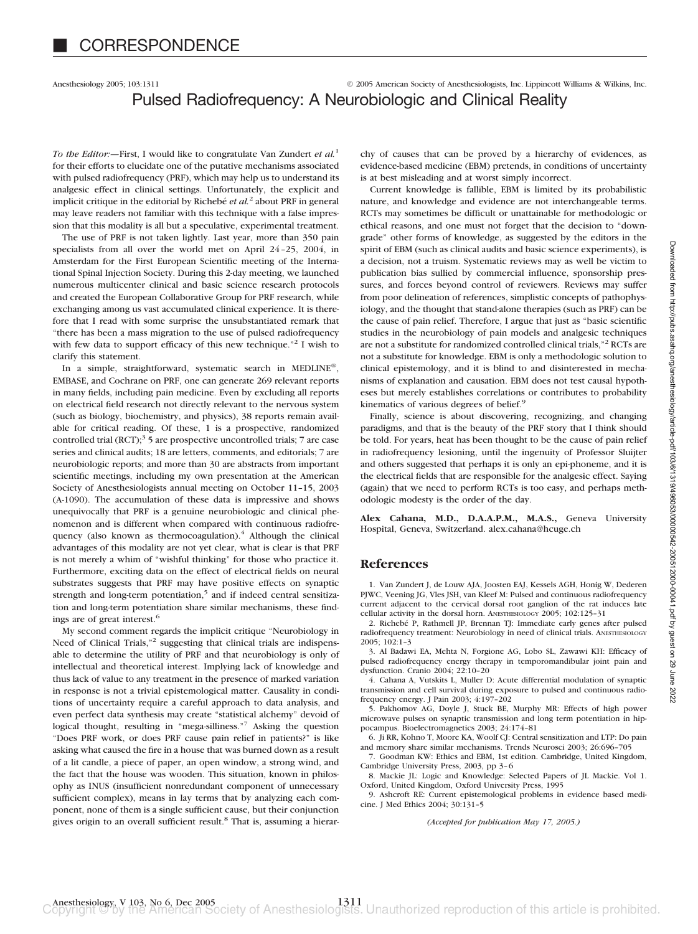Anesthesiology 2005; 103:1311 © 2005 American Society of Anesthesiologists, Inc. Lippincott Williams & Wilkins, Inc. Pulsed Radiofrequency: A Neurobiologic and Clinical Reality

*To the Editor:—*First, I would like to congratulate Van Zundert *et al.*<sup>1</sup> for their efforts to elucidate one of the putative mechanisms associated with pulsed radiofrequency (PRF), which may help us to understand its analgesic effect in clinical settings. Unfortunately, the explicit and implicit critique in the editorial by Richebé *et al.*<sup>2</sup> about PRF in general may leave readers not familiar with this technique with a false impression that this modality is all but a speculative, experimental treatment.

The use of PRF is not taken lightly. Last year, more than 350 pain specialists from all over the world met on April 24–25, 2004, in Amsterdam for the First European Scientific meeting of the International Spinal Injection Society. During this 2-day meeting, we launched numerous multicenter clinical and basic science research protocols and created the European Collaborative Group for PRF research, while exchanging among us vast accumulated clinical experience. It is therefore that I read with some surprise the unsubstantiated remark that "there has been a mass migration to the use of pulsed radiofrequency with few data to support efficacy of this new technique."<sup>2</sup> I wish to clarify this statement.

In a simple, straightforward, systematic search in MEDLINE®, EMBASE, and Cochrane on PRF, one can generate 269 relevant reports in many fields, including pain medicine. Even by excluding all reports on electrical field research not directly relevant to the nervous system (such as biology, biochemistry, and physics), 38 reports remain available for critical reading. Of these, 1 is a prospective, randomized controlled trial  $(RCT)$ ;<sup>3</sup> 5 are prospective uncontrolled trials; 7 are case series and clinical audits; 18 are letters, comments, and editorials; 7 are neurobiologic reports; and more than 30 are abstracts from important scientific meetings, including my own presentation at the American Society of Anesthesiologists annual meeting on October 11–15, 2003 (A-1090). The accumulation of these data is impressive and shows unequivocally that PRF is a genuine neurobiologic and clinical phenomenon and is different when compared with continuous radiofrequency (also known as thermocoagulation). $4$  Although the clinical advantages of this modality are not yet clear, what is clear is that PRF is not merely a whim of "wishful thinking" for those who practice it. Furthermore, exciting data on the effect of electrical fields on neural substrates suggests that PRF may have positive effects on synaptic strength and long-term potentiation, $5$  and if indeed central sensitization and long-term potentiation share similar mechanisms, these findings are of great interest.<sup>6</sup>

My second comment regards the implicit critique "Neurobiology in Need of Clinical Trials,"<sup>2</sup> suggesting that clinical trials are indispensable to determine the utility of PRF and that neurobiology is only of intellectual and theoretical interest. Implying lack of knowledge and thus lack of value to any treatment in the presence of marked variation in response is not a trivial epistemological matter. Causality in conditions of uncertainty require a careful approach to data analysis, and even perfect data synthesis may create "statistical alchemy" devoid of logical thought, resulting in "mega-silliness."7 Asking the question "Does PRF work, or does PRF cause pain relief in patients?" is like asking what caused the fire in a house that was burned down as a result of a lit candle, a piece of paper, an open window, a strong wind, and the fact that the house was wooden. This situation, known in philosophy as INUS (insufficient nonredundant component of unnecessary sufficient complex), means in lay terms that by analyzing each component, none of them is a single sufficient cause, but their conjunction gives origin to an overall sufficient result.<sup>8</sup> That is, assuming a hierar-

chy of causes that can be proved by a hierarchy of evidences, as evidence-based medicine (EBM) pretends, in conditions of uncertainty is at best misleading and at worst simply incorrect.

Current knowledge is fallible, EBM is limited by its probabilistic nature, and knowledge and evidence are not interchangeable terms. RCTs may sometimes be difficult or unattainable for methodologic or ethical reasons, and one must not forget that the decision to "downgrade" other forms of knowledge, as suggested by the editors in the spirit of EBM (such as clinical audits and basic science experiments), is a decision, not a truism. Systematic reviews may as well be victim to publication bias sullied by commercial influence, sponsorship pressures, and forces beyond control of reviewers. Reviews may suffer from poor delineation of references, simplistic concepts of pathophysiology, and the thought that stand-alone therapies (such as PRF) can be the cause of pain relief. Therefore, I argue that just as "basic scientific studies in the neurobiology of pain models and analgesic techniques are not a substitute for randomized controlled clinical trials,"<sup>2</sup> RCTs are not a substitute for knowledge. EBM is only a methodologic solution to clinical epistemology, and it is blind to and disinterested in mechanisms of explanation and causation. EBM does not test causal hypotheses but merely establishes correlations or contributes to probability kinematics of various degrees of belief.<sup>9</sup>

Finally, science is about discovering, recognizing, and changing paradigms, and that is the beauty of the PRF story that I think should be told. For years, heat has been thought to be the cause of pain relief in radiofrequency lesioning, until the ingenuity of Professor Sluijter and others suggested that perhaps it is only an epi-phoneme, and it is the electrical fields that are responsible for the analgesic effect. Saying (again) that we need to perform RCTs is too easy, and perhaps methodologic modesty is the order of the day.

**Alex Cahana, M.D., D.A.A.P.M., M.A.S.,** Geneva University Hospital, Geneva, Switzerland. alex.cahana@hcuge.ch

### **References**

1. Van Zundert J, de Louw AJA, Joosten EAJ, Kessels AGH, Honig W, Dederen PJWC, Veening JG, Vles JSH, van Kleef M: Pulsed and continuous radiofrequency current adjacent to the cervical dorsal root ganglion of the rat induces late cellular activity in the dorsal horn. ANESTHESIOLOGY 2005; 102:125–31

2. Richebé P, Rathmell JP, Brennan TJ: Immediate early genes after pulsed radiofrequency treatment: Neurobiology in need of clinical trials. ANESTHESIOLOGY 2005; 102:1–3

3. Al Badawi EA, Mehta N, Forgione AG, Lobo SL, Zawawi KH: Efficacy of pulsed radiofrequency energy therapy in temporomandibular joint pain and dysfunction. Cranio 2004; 22:10–20

4. Cahana A, Vutskits L, Muller D: Acute differential modulation of synaptic transmission and cell survival during exposure to pulsed and continuous radiofrequency energy. J Pain 2003; 4:197–202

5. Pakhomov AG, Doyle J, Stuck BE, Murphy MR: Effects of high power microwave pulses on synaptic transmission and long term potentiation in hippocampus. Bioelectromagnetics 2003; 24:174–81

6. Ji RR, Kohno T, Moore KA, Woolf CJ: Central sensitization and LTP: Do pain and memory share similar mechanisms. Trends Neurosci 2003; 26:696–705

7. Goodman KW: Ethics and EBM, 1st edition. Cambridge, United Kingdom, Cambridge University Press, 2003, pp 3–6

8. Mackie JL: Logic and Knowledge: Selected Papers of JL Mackie. Vol 1. Oxford, United Kingdom, Oxford University Press, 1995

9. Ashcroft RE: Current epistemological problems in evidence based medicine. J Med Ethics 2004; 30:131–5

*(Accepted for publication May 17, 2005.)*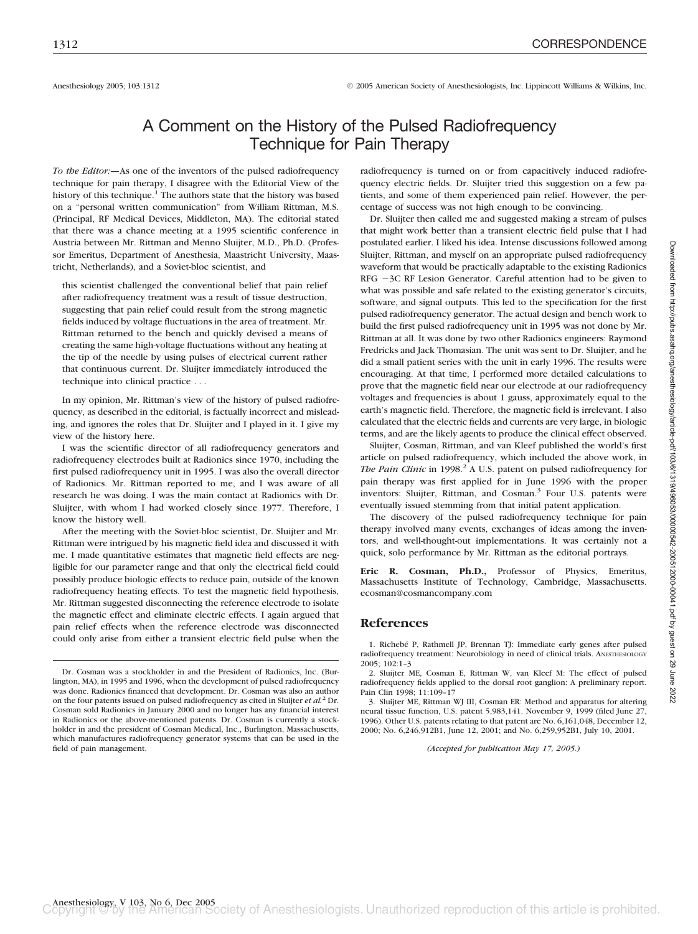Anesthesiology 2005; 103:1312 © 2005 American Society of Anesthesiologists, Inc. Lippincott Williams & Wilkins, Inc.

# A Comment on the History of the Pulsed Radiofrequency Technique for Pain Therapy

*To the Editor:—*As one of the inventors of the pulsed radiofrequency technique for pain therapy, I disagree with the Editorial View of the history of this technique.<sup>1</sup> The authors state that the history was based on a "personal written communication" from William Rittman, M.S. (Principal, RF Medical Devices, Middleton, MA). The editorial stated that there was a chance meeting at a 1995 scientific conference in Austria between Mr. Rittman and Menno Sluijter, M.D., Ph.D. (Professor Emeritus, Department of Anesthesia, Maastricht University, Maastricht, Netherlands), and a Soviet-bloc scientist, and

this scientist challenged the conventional belief that pain relief after radiofrequency treatment was a result of tissue destruction, suggesting that pain relief could result from the strong magnetic fields induced by voltage fluctuations in the area of treatment. Mr. Rittman returned to the bench and quickly devised a means of creating the same high-voltage fluctuations without any heating at the tip of the needle by using pulses of electrical current rather that continuous current. Dr. Sluijter immediately introduced the technique into clinical practice . . .

In my opinion, Mr. Rittman's view of the history of pulsed radiofrequency, as described in the editorial, is factually incorrect and misleading, and ignores the roles that Dr. Sluijter and I played in it. I give my view of the history here.

I was the scientific director of all radiofrequency generators and radiofrequency electrodes built at Radionics since 1970, including the first pulsed radiofrequency unit in 1995. I was also the overall director of Radionics. Mr. Rittman reported to me, and I was aware of all research he was doing. I was the main contact at Radionics with Dr. Sluijter, with whom I had worked closely since 1977. Therefore, I know the history well.

After the meeting with the Soviet-bloc scientist, Dr. Sluijter and Mr. Rittman were intrigued by his magnetic field idea and discussed it with me. I made quantitative estimates that magnetic field effects are negligible for our parameter range and that only the electrical field could possibly produce biologic effects to reduce pain, outside of the known radiofrequency heating effects. To test the magnetic field hypothesis, Mr. Rittman suggested disconnecting the reference electrode to isolate the magnetic effect and eliminate electric effects. I again argued that pain relief effects when the reference electrode was disconnected could only arise from either a transient electric field pulse when the radiofrequency is turned on or from capacitively induced radiofrequency electric fields. Dr. Sluijter tried this suggestion on a few patients, and some of them experienced pain relief. However, the percentage of success was not high enough to be convincing.

Dr. Sluijter then called me and suggested making a stream of pulses that might work better than a transient electric field pulse that I had postulated earlier. I liked his idea. Intense discussions followed among Sluijter, Rittman, and myself on an appropriate pulsed radiofrequency waveform that would be practically adaptable to the existing Radionics RFG  $-3C$  RF Lesion Generator. Careful attention had to be given to what was possible and safe related to the existing generator's circuits, software, and signal outputs. This led to the specification for the first pulsed radiofrequency generator. The actual design and bench work to build the first pulsed radiofrequency unit in 1995 was not done by Mr. Rittman at all. It was done by two other Radionics engineers: Raymond Fredricks and Jack Thomasian. The unit was sent to Dr. Sluijter, and he did a small patient series with the unit in early 1996. The results were encouraging. At that time, I performed more detailed calculations to prove that the magnetic field near our electrode at our radiofrequency voltages and frequencies is about 1 gauss, approximately equal to the earth's magnetic field. Therefore, the magnetic field is irrelevant. I also calculated that the electric fields and currents are very large, in biologic terms, and are the likely agents to produce the clinical effect observed.

Sluijter, Cosman, Rittman, and van Kleef published the world's first article on pulsed radiofrequency, which included the above work, in *The Pain Clinic* in 1998.<sup>2</sup> A U.S. patent on pulsed radiofrequency for pain therapy was first applied for in June 1996 with the proper inventors: Sluijter, Rittman, and Cosman.<sup>3</sup> Four U.S. patents were eventually issued stemming from that initial patent application.

The discovery of the pulsed radiofrequency technique for pain therapy involved many events, exchanges of ideas among the inventors, and well-thought-out implementations. It was certainly not a quick, solo performance by Mr. Rittman as the editorial portrays.

**Eric R. Cosman, Ph.D.,** Professor of Physics, Emeritus, Massachusetts Institute of Technology, Cambridge, Massachusetts. ecosman@cosmancompany.com

### **References**

*(Accepted for publication May 17, 2005.)*

Dr. Cosman was a stockholder in and the President of Radionics, Inc. (Burlington, MA), in 1995 and 1996, when the development of pulsed radiofrequency was done. Radionics financed that development. Dr. Cosman was also an author on the four patents issued on pulsed radiofrequency as cited in Sluijter *et al.*<sup>2</sup> Dr. Cosman sold Radionics in January 2000 and no longer has any financial interest in Radionics or the above-mentioned patents. Dr. Cosman is currently a stockholder in and the president of Cosman Medical, Inc., Burlington, Massachusetts, which manufactures radiofrequency generator systems that can be used in the field of pain management.

<sup>1.</sup> Richebé P, Rathmell JP, Brennan TJ: Immediate early genes after pulsed radiofrequency treatment: Neurobiology in need of clinical trials. ANESTHESIOLOGY  $2005: 102:1 - 3$ 

<sup>2.</sup> Sluijter ME, Cosman E, Rittman W, van Kleef M: The effect of pulsed radiofrequency fields applied to the dorsal root ganglion: A preliminary report. Pain Clin 1998; 11:109–17

<sup>3.</sup> Sluijter ME, Rittman WJ III, Cosman ER: Method and apparatus for altering neural tissue function, U.S. patent 5,983,141. November 9, 1999 (filed June 27, 1996). Other U.S. patents relating to that patent are No. 6,161,048, December 12, 2000; No. 6,246,912B1, June 12, 2001; and No. 6,259,952B1, July 10, 2001.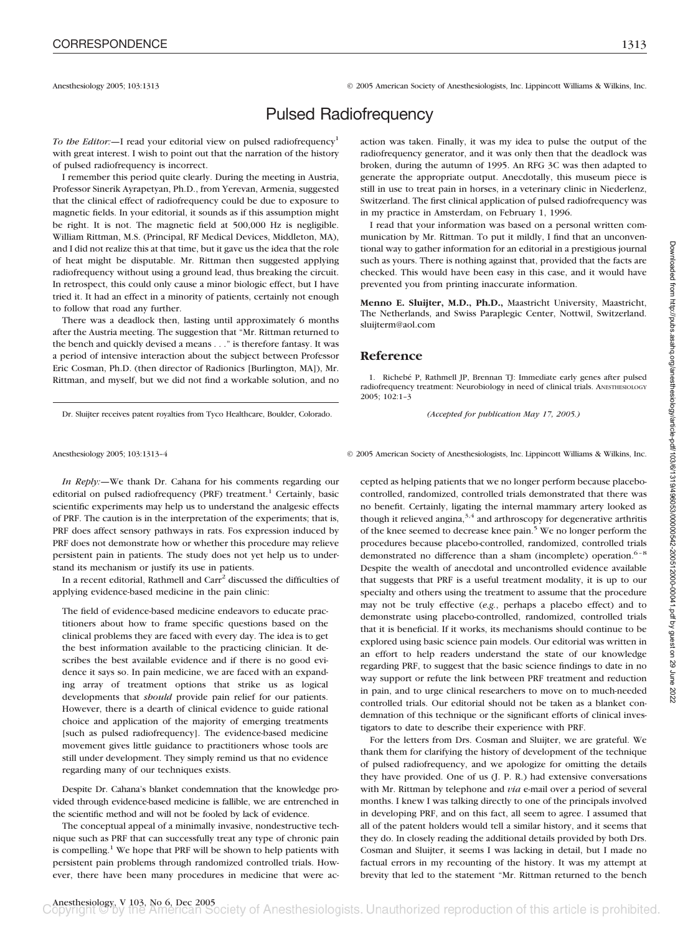Anesthesiology 2005; 103:1313 © 2005 American Society of Anesthesiologists, Inc. Lippincott Williams & Wilkins, Inc.

# Pulsed Radiofrequency

*To the Editor:*—I read your editorial view on pulsed radiofrequency<sup>1</sup> with great interest. I wish to point out that the narration of the history of pulsed radiofrequency is incorrect.

I remember this period quite clearly. During the meeting in Austria, Professor Sinerik Ayrapetyan, Ph.D., from Yerevan, Armenia, suggested that the clinical effect of radiofrequency could be due to exposure to magnetic fields. In your editorial, it sounds as if this assumption might be right. It is not. The magnetic field at 500,000 Hz is negligible. William Rittman, M.S. (Principal, RF Medical Devices, Middleton, MA), and I did not realize this at that time, but it gave us the idea that the role of heat might be disputable. Mr. Rittman then suggested applying radiofrequency without using a ground lead, thus breaking the circuit. In retrospect, this could only cause a minor biologic effect, but I have tried it. It had an effect in a minority of patients, certainly not enough to follow that road any further.

There was a deadlock then, lasting until approximately 6 months after the Austria meeting. The suggestion that "Mr. Rittman returned to the bench and quickly devised a means . . ." is therefore fantasy. It was a period of intensive interaction about the subject between Professor Eric Cosman, Ph.D. (then director of Radionics [Burlington, MA]), Mr. Rittman, and myself, but we did not find a workable solution, and no

Dr. Sluijter receives patent royalties from Tyco Healthcare, Boulder, Colorado.

action was taken. Finally, it was my idea to pulse the output of the radiofrequency generator, and it was only then that the deadlock was broken, during the autumn of 1995. An RFG 3C was then adapted to generate the appropriate output. Anecdotally, this museum piece is still in use to treat pain in horses, in a veterinary clinic in Niederlenz, Switzerland. The first clinical application of pulsed radiofrequency was in my practice in Amsterdam, on February 1, 1996. I read that your information was based on a personal written com-

munication by Mr. Rittman. To put it mildly, I find that an unconventional way to gather information for an editorial in a prestigious journal such as yours. There is nothing against that, provided that the facts are checked. This would have been easy in this case, and it would have prevented you from printing inaccurate information.

**Menno E. Sluijter, M.D., Ph.D.,** Maastricht University, Maastricht, The Netherlands, and Swiss Paraplegic Center, Nottwil, Switzerland. sluijterm@aol.com

## **Reference**

1. Richebé P, Rathmell IP, Brennan TI: Immediate early genes after pulsed radiofrequency treatment: Neurobiology in need of clinical trials. ANESTHESIOLOGY 2005; 102:1–3

*(Accepted for publication May 17, 2005.)*

*In Reply:—*We thank Dr. Cahana for his comments regarding our editorial on pulsed radiofrequency (PRF) treatment.<sup>1</sup> Certainly, basic scientific experiments may help us to understand the analgesic effects of PRF. The caution is in the interpretation of the experiments; that is, PRF does affect sensory pathways in rats. Fos expression induced by PRF does not demonstrate how or whether this procedure may relieve persistent pain in patients. The study does not yet help us to understand its mechanism or justify its use in patients.

In a recent editorial, Rathmell and Carr<sup>2</sup> discussed the difficulties of applying evidence-based medicine in the pain clinic:

The field of evidence-based medicine endeavors to educate practitioners about how to frame specific questions based on the clinical problems they are faced with every day. The idea is to get the best information available to the practicing clinician. It describes the best available evidence and if there is no good evidence it says so. In pain medicine, we are faced with an expanding array of treatment options that strike us as logical developments that *should* provide pain relief for our patients. However, there is a dearth of clinical evidence to guide rational choice and application of the majority of emerging treatments [such as pulsed radiofrequency]. The evidence-based medicine movement gives little guidance to practitioners whose tools are still under development. They simply remind us that no evidence regarding many of our techniques exists.

Despite Dr. Cahana's blanket condemnation that the knowledge provided through evidence-based medicine is fallible, we are entrenched in the scientific method and will not be fooled by lack of evidence.

The conceptual appeal of a minimally invasive, nondestructive technique such as PRF that can successfully treat any type of chronic pain is compelling.<sup>1</sup> We hope that PRF will be shown to help patients with persistent pain problems through randomized controlled trials. However, there have been many procedures in medicine that were ac-

Anesthesiology 2005; 103:1313–4 © 2005 American Society of Anesthesiologists, Inc. Lippincott Williams & Wilkins, Inc.

cepted as helping patients that we no longer perform because placebocontrolled, randomized, controlled trials demonstrated that there was no benefit. Certainly, ligating the internal mammary artery looked as though it relieved angina,  $3,4$  and arthroscopy for degenerative arthritis of the knee seemed to decrease knee pain.<sup>5</sup> We no longer perform the procedures because placebo-controlled, randomized, controlled trials demonstrated no difference than a sham (incomplete) operation.<sup>6-8</sup> Despite the wealth of anecdotal and uncontrolled evidence available that suggests that PRF is a useful treatment modality, it is up to our specialty and others using the treatment to assume that the procedure may not be truly effective (*e.g.*, perhaps a placebo effect) and to demonstrate using placebo-controlled, randomized, controlled trials that it is beneficial. If it works, its mechanisms should continue to be explored using basic science pain models. Our editorial was written in an effort to help readers understand the state of our knowledge regarding PRF, to suggest that the basic science findings to date in no way support or refute the link between PRF treatment and reduction in pain, and to urge clinical researchers to move on to much-needed controlled trials. Our editorial should not be taken as a blanket condemnation of this technique or the significant efforts of clinical investigators to date to describe their experience with PRF.

For the letters from Drs. Cosman and Sluijter, we are grateful. We thank them for clarifying the history of development of the technique of pulsed radiofrequency, and we apologize for omitting the details they have provided. One of us (J. P. R.) had extensive conversations with Mr. Rittman by telephone and *via* e-mail over a period of several months. I knew I was talking directly to one of the principals involved in developing PRF, and on this fact, all seem to agree. I assumed that all of the patent holders would tell a similar history, and it seems that they do. In closely reading the additional details provided by both Drs. Cosman and Sluijter, it seems I was lacking in detail, but I made no factual errors in my recounting of the history. It was my attempt at brevity that led to the statement "Mr. Rittman returned to the bench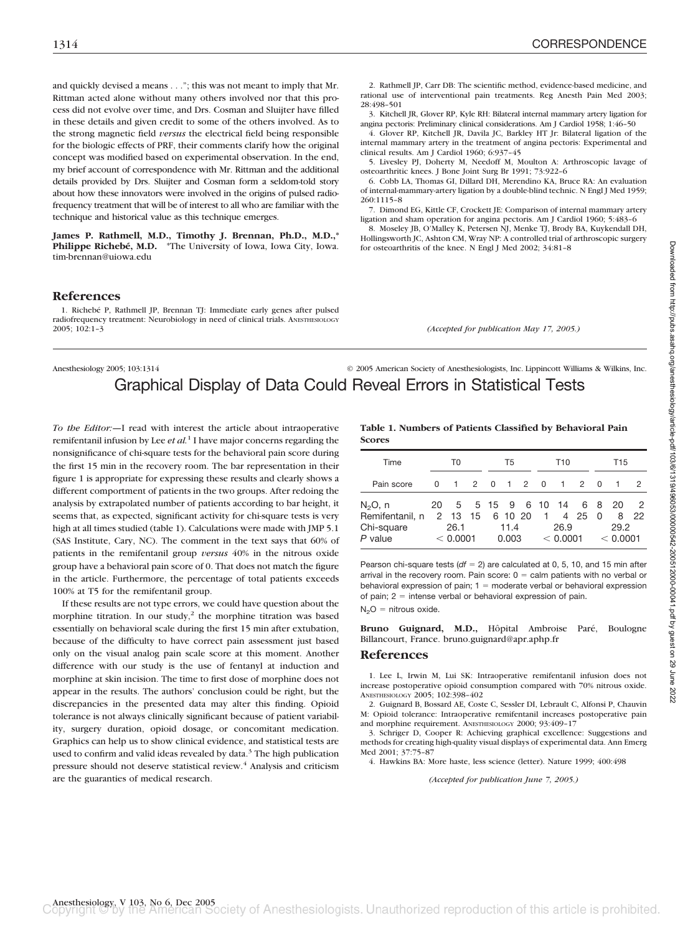and quickly devised a means . . ."; this was not meant to imply that Mr. Rittman acted alone without many others involved nor that this process did not evolve over time, and Drs. Cosman and Sluijter have filled in these details and given credit to some of the others involved. As to the strong magnetic field *versus* the electrical field being responsible for the biologic effects of PRF, their comments clarify how the original concept was modified based on experimental observation. In the end, my brief account of correspondence with Mr. Rittman and the additional details provided by Drs. Sluijter and Cosman form a seldom-told story about how these innovators were involved in the origins of pulsed radiofrequency treatment that will be of interest to all who are familiar with the technique and historical value as this technique emerges.

**James P. Rathmell, M.D., Timothy J. Brennan, Ph.D., M.D.,\*** Philippe Richebé, M.D. \*The University of Iowa, Iowa City, Iowa. tim-brennan@uiowa.edu

### **References**

1. Richebé P, Rathmell JP, Brennan TJ: Immediate early genes after pulsed radiofrequency treatment: Neurobiology in need of clinical trials. ANESTHESIOLOGY 2005; 102:1–3

2. Rathmell JP, Carr DB: The scientific method, evidence-based medicine, and rational use of interventional pain treatments. Reg Anesth Pain Med 2003; 28:498–501

3. Kitchell JR, Glover RP, Kyle RH: Bilateral internal mammary artery ligation for angina pectoris: Preliminary clinical considerations. Am J Cardiol 1958; 1:46–50

4. Glover RP, Kitchell JR, Davila JC, Barkley HT Jr: Bilateral ligation of the internal mammary artery in the treatment of angina pectoris: Experimental and clinical results. Am J Cardiol 1960; 6:937–45

5. Livesley PJ, Doherty M, Needoff M, Moulton A: Arthroscopic lavage of osteoarthritic knees. J Bone Joint Surg Br 1991; 73:922–6

6. Cobb LA, Thomas GI, Dillard DH, Merendino KA, Bruce RA: An evaluation of internal-mammary-artery ligation by a double-blind technic. N Engl J Med 1959; 260:1115–8

7. Dimond EG, Kittle CF, Crockett JE: Comparison of internal mammary artery ligation and sham operation for angina pectoris. Am J Cardiol 1960; 5:483–6

8. Moseley JB, O'Malley K, Petersen NJ, Menke TJ, Brody BA, Kuykendall DH, Hollingsworth JC, Ashton CM, Wray NP: A controlled trial of arthroscopic surgery for osteoarthritis of the knee. N Engl J Med 2002; 34:81–8

*(Accepted for publication May 17, 2005.)*

## Anesthesiology 2005; 103:1314 © 2005 American Society of Anesthesiologists, Inc. Lippincott Williams & Wilkins, Inc. Graphical Display of Data Could Reveal Errors in Statistical Tests

*To the Editor:—*I read with interest the article about intraoperative remifentanil infusion by Lee *et al.*<sup>1</sup> I have major concerns regarding the nonsignificance of chi-square tests for the behavioral pain score during the first 15 min in the recovery room. The bar representation in their figure 1 is appropriate for expressing these results and clearly shows a different comportment of patients in the two groups. After redoing the analysis by extrapolated number of patients according to bar height, it seems that, as expected, significant activity for chi-square tests is very high at all times studied (table 1). Calculations were made with JMP 5.1 (SAS Institute, Cary, NC). The comment in the text says that 60% of patients in the remifentanil group *versus* 40% in the nitrous oxide group have a behavioral pain score of 0. That does not match the figure in the article. Furthermore, the percentage of total patients exceeds 100% at T5 for the remifentanil group.

If these results are not type errors, we could have question about the morphine titration. In our study, $2$  the morphine titration was based essentially on behavioral scale during the first 15 min after extubation, because of the difficulty to have correct pain assessment just based only on the visual analog pain scale score at this moment. Another difference with our study is the use of fentanyl at induction and morphine at skin incision. The time to first dose of morphine does not appear in the results. The authors' conclusion could be right, but the discrepancies in the presented data may alter this finding. Opioid tolerance is not always clinically significant because of patient variability, surgery duration, opioid dosage, or concomitant medication. Graphics can help us to show clinical evidence, and statistical tests are used to confirm and valid ideas revealed by data.<sup>3</sup> The high publication pressure should not deserve statistical review.<sup>4</sup> Analysis and criticism are the guaranties of medical research.

**Table 1. Numbers of Patients Classified by Behavioral Pain Scores**

| Time                                                    | T0       |                                                                |  | T5 |               |  | T <sub>10</sub>            | T15            |                               |               |  |
|---------------------------------------------------------|----------|----------------------------------------------------------------|--|----|---------------|--|----------------------------|----------------|-------------------------------|---------------|--|
| Pain score                                              | $\Omega$ | 1 2 0 1 2 0 1 2 0                                              |  |    |               |  |                            |                | $\overline{1}$                | $\mathcal{P}$ |  |
| $N2O$ , n<br>Remifentanil, n<br>Chi-square<br>$P$ value |          | 20 5 5 15 9 6 10 14 6 8<br>2 13 15 6 10 20<br>26.1<br>< 0.0001 |  |    | 11.4<br>0.003 |  | 1 4 25<br>26.9<br>< 0.0001 | $\overline{0}$ | - 20<br>8<br>29.2<br>< 0.0001 | -2<br>22      |  |

Pearson chi-square tests  $(df = 2)$  are calculated at 0, 5, 10, and 15 min after arrival in the recovery room. Pain score:  $0 =$  calm patients with no verbal or behavioral expression of pain:  $1 =$  moderate verbal or behavioral expression of pain;  $2 =$  intense verbal or behavioral expression of pain.

 $N_2O$  = nitrous oxide.

Bruno Guignard, M.D., Hôpital Ambroise Paré, Boulogne Billancourt, France. bruno.guignard@apr.aphp.fr

#### **References**

1. Lee L, Irwin M, Lui SK: Intraoperative remifentanil infusion does not increase postoperative opioid consumption compared with 70% nitrous oxide. ANESTHESIOLOGY 2005; 102:398–402

2. Guignard B, Bossard AE, Coste C, Sessler DI, Lebrault C, Alfonsi P, Chauvin M: Opioid tolerance: Intraoperative remifentanil increases postoperative pain and morphine requirement. ANESTHESIOLOGY 2000; 93:409–17

3. Schriger D, Cooper R: Achieving graphical excellence: Suggestions and methods for creating high-quality visual displays of experimental data. Ann Emerg Med 2001; 37:75–87

4. Hawkins BA: More haste, less science (letter). Nature 1999; 400:498

*(Accepted for publication June 7, 2005.)*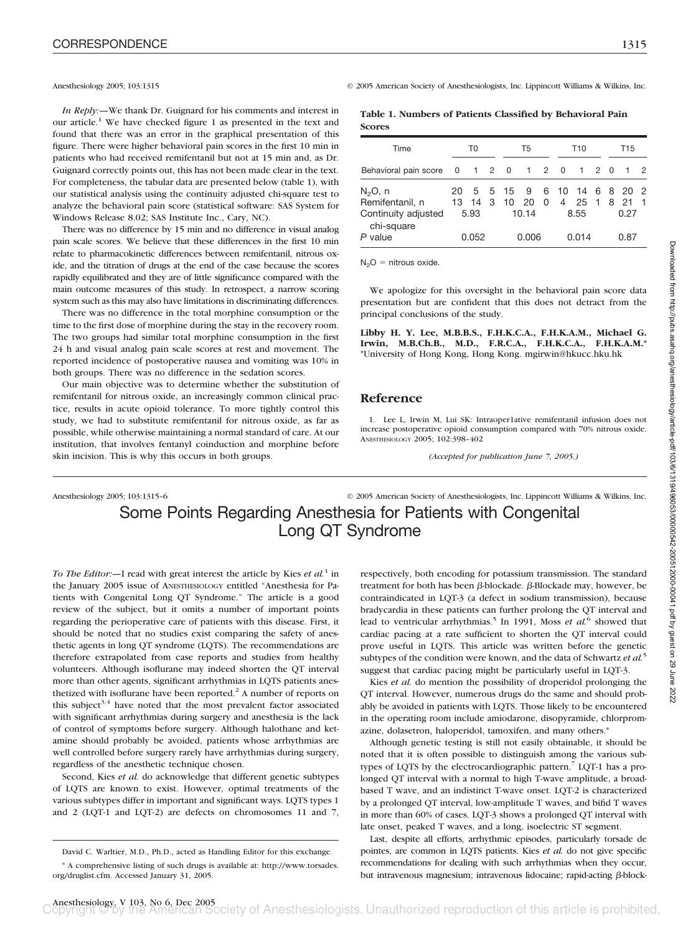*In Reply:—*We thank Dr. Guignard for his comments and interest in our article.1 We have checked figure 1 as presented in the text and found that there was an error in the graphical presentation of this figure. There were higher behavioral pain scores in the first 10 min in patients who had received remifentanil but not at 15 min and, as Dr. Guignard correctly points out, this has not been made clear in the text. For completeness, the tabular data are presented below (table 1), with our statistical analysis using the continuity adjusted chi-square test to analyze the behavioral pain score (statistical software: SAS System for Windows Release 8.02; SAS Institute Inc., Cary, NC).

There was no difference by 15 min and no difference in visual analog pain scale scores. We believe that these differences in the first 10 min relate to pharmacokinetic differences between remifentanil, nitrous oxide, and the titration of drugs at the end of the case because the scores rapidly equilibrated and they are of little significance compared with the main outcome measures of this study. In retrospect, a narrow scoring system such as this may also have limitations in discriminating differences.

There was no difference in the total morphine consumption or the time to the first dose of morphine during the stay in the recovery room. The two groups had similar total morphine consumption in the first 24 h and visual analog pain scale scores at rest and movement. The reported incidence of postoperative nausea and vomiting was 10% in both groups. There was no difference in the sedation scores.

Our main objective was to determine whether the substitution of remifentanil for nitrous oxide, an increasingly common clinical practice, results in acute opioid tolerance. To more tightly control this study, we had to substitute remifentanil for nitrous oxide, as far as possible, while otherwise maintaining a normal standard of care. At our institution, that involves fentanyl coinduction and morphine before skin incision. This is why this occurs in both groups.

Anesthesiology 2005; 103:1315 © 2005 American Society of Anesthesiologists, Inc. Lippincott Williams & Wilkins, Inc.

#### **Table 1. Numbers of Patients Classified by Behavioral Pain Scores**

| Time                                                                        | T0    |      |  | T5     |                               |   | T <sub>10</sub> |                       |  | T15  |                     |                |
|-----------------------------------------------------------------------------|-------|------|--|--------|-------------------------------|---|-----------------|-----------------------|--|------|---------------------|----------------|
| Behavioral pain score 0                                                     |       |      |  |        | 1 2 0 1 2 0                   |   |                 | 1 2 0                 |  |      | $\overline{1}$      | $\overline{2}$ |
| N <sub>2</sub> O, n<br>Remifentanil, n<br>Continuity adjusted<br>chi-square | 20    | 5.93 |  | 5 5 15 | 9<br>13 14 3 10 20 0<br>10.14 | 6 | 10              | 4 25 1 8 21 1<br>8.55 |  |      | 14 6 8 20 2<br>0.27 |                |
| P value                                                                     | 0.052 |      |  | 0.006  |                               |   | 0.014           |                       |  | 0.87 |                     |                |

 $N_2O$  = nitrous oxide.

We apologize for this oversight in the behavioral pain score data presentation but are confident that this does not detract from the principal conclusions of the study.

**Libby H. Y. Lee, M.B.B.S., F.H.K.C.A., F.H.K.A.M., Michael G. Irwin, M.B.Ch.B., M.D., F.R.C.A., F.H.K.C.A., F.H.K.A.M.\*** \*University of Hong Kong, Hong Kong. mgirwin@hkucc.hku.hk

## **Reference**

1. Lee L, Irwin M, Lui SK: Intraoper1ative remifentanil infusion does not increase postoperative opioid consumption compared with 70% nitrous oxide. ANESTHESIOLOGY 2005; 102:398–402

*(Accepted for publication June 7, 2005.)*

## Anesthesiology 2005; 103:1315–6 © 2005 American Society of Anesthesiologists, Inc. Lippincott Williams & Wilkins, Inc. Some Points Regarding Anesthesia for Patients with Congenital Long QT Syndrome

*To The Editor:*—I read with great interest the article by Kies *et al.*<sup>1</sup> in the January 2005 issue of ANESTHESIOLOGY entitled "Anesthesia for Patients with Congenital Long QT Syndrome." The article is a good review of the subject, but it omits a number of important points regarding the perioperative care of patients with this disease. First, it should be noted that no studies exist comparing the safety of anesthetic agents in long QT syndrome (LQTS). The recommendations are therefore extrapolated from case reports and studies from healthy volunteers. Although isoflurane may indeed shorten the QT interval more than other agents, significant arrhythmias in LQTS patients anesthetized with isoflurane have been reported.<sup>2</sup> A number of reports on this subject<sup>3,4</sup> have noted that the most prevalent factor associated with significant arrhythmias during surgery and anesthesia is the lack of control of symptoms before surgery. Although halothane and ketamine should probably be avoided, patients whose arrhythmias are well controlled before surgery rarely have arrhythmias during surgery, regardless of the anesthetic technique chosen.

Second, Kies *et al.* do acknowledge that different genetic subtypes of LQTS are known to exist. However, optimal treatments of the various subtypes differ in important and significant ways. LQTS types 1 and 2 (LQT-1 and LQT-2) are defects on chromosomes 11 and 7,

respectively, both encoding for potassium transmission. The standard treatment for both has been  $\beta$ -blockade.  $\beta$ -Blockade may, however, be contraindicated in LQT-3 (a defect in sodium transmission), because bradycardia in these patients can further prolong the QT interval and lead to ventricular arrhythmias.<sup>5</sup> In 1991, Moss *et al.*<sup>6</sup> showed that cardiac pacing at a rate sufficient to shorten the QT interval could prove useful in LQTS. This article was written before the genetic subtypes of the condition were known, and the data of Schwartz *et al.*<sup>5</sup> suggest that cardiac pacing might be particularly useful in LQT-3.

Kies *et al.* do mention the possibility of droperidol prolonging the QT interval. However, numerous drugs do the same and should probably be avoided in patients with LQTS. Those likely to be encountered in the operating room include amiodarone, disopyramide, chlorpromazine, dolasetron, haloperidol, tamoxifen, and many others.\*

Although genetic testing is still not easily obtainable, it should be noted that it is often possible to distinguish among the various subtypes of LQTS by the electrocardiographic pattern.<sup>7</sup> LQT-1 has a prolonged QT interval with a normal to high T-wave amplitude, a broadbased T wave, and an indistinct T-wave onset. LQT-2 is characterized by a prolonged QT interval, low-amplitude T waves, and bifid T waves in more than 60% of cases. LQT-3 shows a prolonged QT interval with late onset, peaked T waves, and a long, isoelectric ST segment.

Last, despite all efforts, arrhythmic episodes, particularly torsade de pointes, are common in LQTS patients. Kies *et al.* do not give specific recommendations for dealing with such arrhythmias when they occur, but intravenous magnesium; intravenous lidocaine; rapid-acting  $\beta$ -block-

David C. Warltier, M.D., Ph.D., acted as Handling Editor for this exchange.

<sup>\*</sup> A comprehensive listing of such drugs is available at: http://www.torsades. org/druglist.cfm. Accessed January 31, 2005.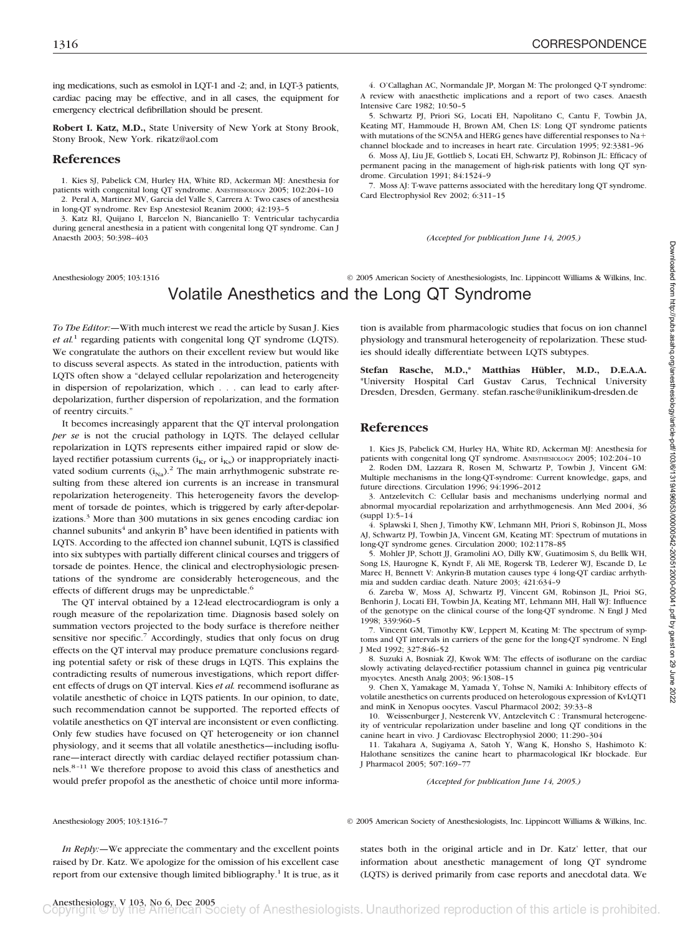ing medications, such as esmolol in LQT-1 and -2; and, in LQT-3 patients, cardiac pacing may be effective, and in all cases, the equipment for emergency electrical defibrillation should be present.

**Robert I. Katz, M.D.,** State University of New York at Stony Brook, Stony Brook, New York. rikatz@aol.com

### **References**

1. Kies SJ, Pabelick CM, Hurley HA, White RD, Ackerman MJ: Anesthesia for patients with congenital long QT syndrome. ANESTHESIOLOGY 2005; 102:204–10 2. Peral A, Martinez MV, Garcia del Valle S, Carrera A: Two cases of anesthesia

in long-QT syndrome. Rev Esp Anestesiol Reanim 2000; 42:193–5 3. Katz RI, Quijano I, Barcelon N, Biancaniello T: Ventricular tachycardia during general anesthesia in a patient with congenital long QT syndrome. Can J

Anaesth 2003; 50:398–403

4. O'Callaghan AC, Normandale JP, Morgan M: The prolonged Q-T syndrome: A review with anaesthetic implications and a report of two cases. Anaesth Intensive Care 1982; 10:50–5

5. Schwartz PJ, Priori SG, Locati EH, Napolitano C, Cantu F, Towbin JA, Keating MT, Hammoude H, Brown AM, Chen LS: Long QT syndrome patients with mutations of the SCN5A and HERG genes have differential responses to Na channel blockade and to increases in heart rate. Circulation 1995; 92:3381–96 6. Moss AJ, Liu JE, Gottlieb S, Locati EH, Schwartz PJ, Robinson JL: Efficacy of permanent pacing in the management of high-risk patients with long QT syn-

drome. Circulation 1991; 84:1524–9 7. Moss AJ: T-wave patterns associated with the hereditary long QT syndrome. Card Electrophysiol Rev 2002; 6:311–15

*(Accepted for publication June 14, 2005.)*

Anesthesiology 2005; 103:1316 © 2005 American Society of Anesthesiologists, Inc. Lippincott Williams & Wilkins, Inc.

# Volatile Anesthetics and the Long QT Syndrome

*To The Editor:—*With much interest we read the article by Susan J. Kies *et al.*<sup>1</sup> regarding patients with congenital long QT syndrome (LQTS). We congratulate the authors on their excellent review but would like to discuss several aspects. As stated in the introduction, patients with LQTS often show a "delayed cellular repolarization and heterogeneity in dispersion of repolarization, which . . . can lead to early afterdepolarization, further dispersion of repolarization, and the formation of reentry circuits."

It becomes increasingly apparent that the QT interval prolongation *per se* is not the crucial pathology in LQTS. The delayed cellular repolarization in LQTS represents either impaired rapid or slow delayed rectifier potassium currents ( $i_{Kr}$  or  $i_{Ks}$ ) or inappropriately inactivated sodium currents  $(i_{Na})$ .<sup>2</sup> The main arrhythmogenic substrate resulting from these altered ion currents is an increase in transmural repolarization heterogeneity. This heterogeneity favors the development of torsade de pointes, which is triggered by early after-depolarizations. $3$  More than 300 mutations in six genes encoding cardiac ion channel subunits<sup>4</sup> and ankyrin  $B<sup>5</sup>$  have been identified in patients with LQTS. According to the affected ion channel subunit, LQTS is classified into six subtypes with partially different clinical courses and triggers of torsade de pointes. Hence, the clinical and electrophysiologic presentations of the syndrome are considerably heterogeneous, and the effects of different drugs may be unpredictable.<sup>6</sup>

The QT interval obtained by a 12-lead electrocardiogram is only a rough measure of the repolarization time. Diagnosis based solely on summation vectors projected to the body surface is therefore neither sensitive nor specific.<sup>7</sup> Accordingly, studies that only focus on drug effects on the QT interval may produce premature conclusions regarding potential safety or risk of these drugs in LQTS. This explains the contradicting results of numerous investigations, which report different effects of drugs on QT interval. Kies *et al.* recommend isoflurane as volatile anesthetic of choice in LQTS patients. In our opinion, to date, such recommendation cannot be supported. The reported effects of volatile anesthetics on QT interval are inconsistent or even conflicting. Only few studies have focused on QT heterogeneity or ion channel physiology, and it seems that all volatile anesthetics—including isoflurane—interact directly with cardiac delayed rectifier potassium channels.8–11 We therefore propose to avoid this class of anesthetics and would prefer propofol as the anesthetic of choice until more informa-

tion is available from pharmacologic studies that focus on ion channel physiology and transmural heterogeneity of repolarization. These studies should ideally differentiate between LQTS subtypes.

Stefan Rasche, M.D.,\* Matthias Hübler, M.D., D.E.A.A. \*University Hospital Carl Gustav Carus, Technical University Dresden, Dresden, Germany. stefan.rasche@uniklinikum-dresden.de

#### **References**

1. Kies JS, Pabelick CM, Hurley HA, White RD, Ackerman MJ: Anesthesia for patients with congenital long QT syndrome. ANESTHESIOLOGY 2005; 102:204–10 2. Roden DM, Lazzara R, Rosen M, Schwartz P, Towbin J, Vincent GM:

Multiple mechanisms in the long-QT-syndrome: Current knowledge, gaps, and future directions. Circulation 1996; 94:1996–2012

3. Antzelevitch C: Cellular basis and mechanisms underlying normal and abnormal myocardial repolarization and arrhythmogenesis. Ann Med 2004, 36 (suppl 1):5–14

4. Splawski I, Shen J, Timothy KW, Lehmann MH, Priori S, Robinson JL, Moss AJ, Schwartz PJ, Towbin JA, Vincent GM, Keating MT: Spectrum of mutations in long-QT syndrome genes. Circulation 2000; 102:1178–85

5. Mohler JP, Schott JJ, Gramolini AO, Dilly KW, Guatimosim S, du Bellk WH, Song LS, Haurogne K, Kyndt F, Ali ME, Rogersk TB, Lederer WJ, Escande D, Le Marec H, Bennett V: Ankyrin-B mutation causes type 4 long-QT cardiac arrhythmia and sudden cardiac death. Nature 2003; 421:634–9

6. Zareba W, Moss AJ, Schwartz PJ, Vincent GM, Robinson JL, Prioi SG, Benhorin J, Locati EH, Towbin JA, Keating MT, Lehmann MH, Hall WJ: Influence of the genotype on the clinical course of the long-QT syndrome. N Engl J Med 1998; 339:960–5

7. Vincent GM, Timothy KW, Leppert M, Keating M: The spectrum of symptoms and QT intervals in carriers of the gene for the long-QT syndrome. N Engl J Med 1992; 327:846–52

8. Suzuki A, Bosniak ZJ, Kwok WM: The effects of isoflurane on the cardiac slowly activating delayed-rectifier potassium channel in guinea pig ventricular myocytes. Anesth Analg 2003; 96:1308–15

9. Chen X, Yamakage M, Yamada Y, Tohse N, Namiki A: Inhibitory effects of volatile anesthetics on currents produced on heterologous expression of KvLQT1 and minK in Xenopus oocytes. Vascul Pharmacol 2002; 39:33–8

10. Weissenburger J, Nesterenk VV, Antzelevitch C : Transmural heterogeneity of ventricular repolarization under baseline and long QT conditions in the canine heart in vivo. J Cardiovasc Electrophysiol 2000; 11:290–304

11. Takahara A, Sugiyama A, Satoh Y, Wang K, Honsho S, Hashimoto K: Halothane sensitizes the canine heart to pharmacological IKr blockade. Eur J Pharmacol 2005; 507:169–77

*(Accepted for publication June 14, 2005.)*

Anesthesiology 2005; 103:1316-7 © 2005 American Society of Anesthesiologists, Inc. Lippincott Williams & Wilkins, Inc.

*In Reply:—*We appreciate the commentary and the excellent points raised by Dr. Katz. We apologize for the omission of his excellent case report from our extensive though limited bibliography.<sup>1</sup> It is true, as it states both in the original article and in Dr. Katz' letter, that our information about anesthetic management of long QT syndrome (LQTS) is derived primarily from case reports and anecdotal data. We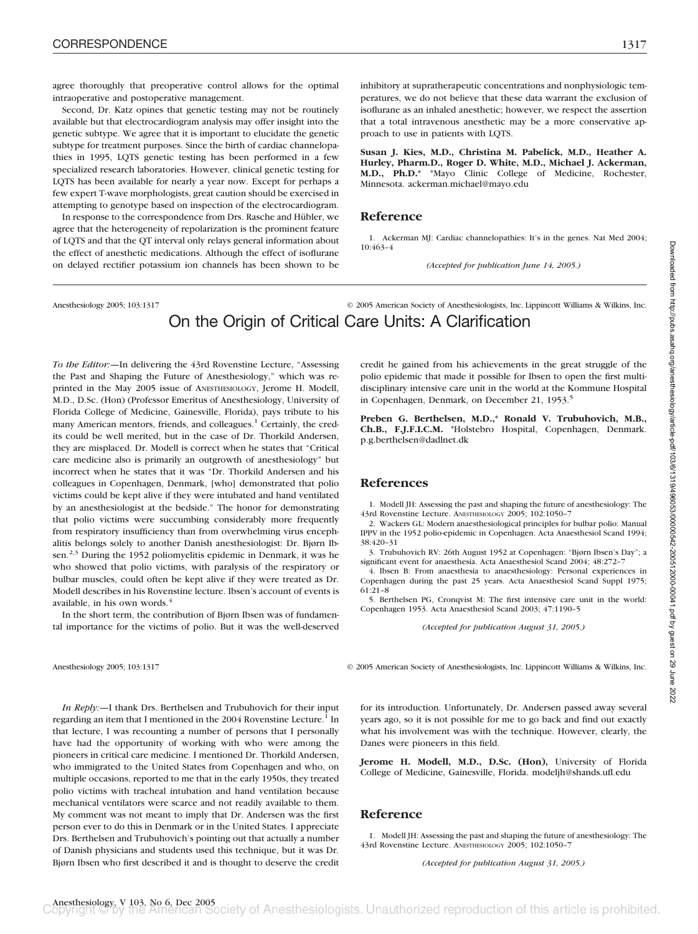agree thoroughly that preoperative control allows for the optimal intraoperative and postoperative management.

Second, Dr. Katz opines that genetic testing may not be routinely available but that electrocardiogram analysis may offer insight into the genetic subtype. We agree that it is important to elucidate the genetic subtype for treatment purposes. Since the birth of cardiac channelopathies in 1995, LQTS genetic testing has been performed in a few specialized research laboratories. However, clinical genetic testing for LQTS has been available for nearly a year now. Except for perhaps a few expert T-wave morphologists, great caution should be exercised in attempting to genotype based on inspection of the electrocardiogram.

In response to the correspondence from Drs. Rasche and Hübler, we agree that the heterogeneity of repolarization is the prominent feature of LQTS and that the QT interval only relays general information about the effect of anesthetic medications. Although the effect of isoflurane on delayed rectifier potassium ion channels has been shown to be

inhibitory at supratherapeutic concentrations and nonphysiologic temperatures, we do not believe that these data warrant the exclusion of isoflurane as an inhaled anesthetic; however, we respect the assertion that a total intravenous anesthetic may be a more conservative approach to use in patients with LQTS.

**Susan J. Kies, M.D., Christina M. Pabelick, M.D., Heather A. Hurley, Pharm.D., Roger D. White, M.D., Michael J. Ackerman, M.D., Ph.D.\*** \*Mayo Clinic College of Medicine, Rochester, Minnesota. ackerman.michael@mayo.edu

## **Reference**

1. Ackerman MJ: Cardiac channelopathies: It's in the genes. Nat Med 2004; 10:463–4

*(Accepted for publication June 14, 2005.)*

Anesthesiology 2005; 103:1317 © 2005 American Society of Anesthesiologists, Inc. Lippincott Williams & Wilkins, Inc.

On the Origin of Critical Care Units: A Clarification

*To the Editor:—*In delivering the 43rd Rovenstine Lecture, "Assessing the Past and Shaping the Future of Anesthesiology," which was reprinted in the May 2005 issue of ANESTHESIOLOGY, Jerome H. Modell, M.D., D.Sc. (Hon) (Professor Emeritus of Anesthesiology, University of Florida College of Medicine, Gainesville, Florida), pays tribute to his many American mentors, friends, and colleagues.<sup>1</sup> Certainly, the credits could be well merited, but in the case of Dr. Thorkild Andersen, they are misplaced. Dr. Modell is correct when he states that "Critical care medicine also is primarily an outgrowth of anesthesiology" but incorrect when he states that it was "Dr. Thorkild Andersen and his colleagues in Copenhagen, Denmark, [who] demonstrated that polio victims could be kept alive if they were intubated and hand ventilated by an anesthesiologist at the bedside." The honor for demonstrating that polio victims were succumbing considerably more frequently from respiratory insufficiency than from overwhelming virus encephalitis belongs solely to another Danish anesthesiologist: Dr. Bjørn Ibsen.<sup>2,3</sup> During the 1952 poliomyelitis epidemic in Denmark, it was he who showed that polio victims, with paralysis of the respiratory or bulbar muscles, could often be kept alive if they were treated as Dr. Modell describes in his Rovenstine lecture. Ibsen's account of events is available, in his own words. $4$ 

In the short term, the contribution of Bjørn Ibsen was of fundamental importance for the victims of polio. But it was the well-deserved

*In Reply:—*I thank Drs. Berthelsen and Trubuhovich for their input regarding an item that I mentioned in the 2004 Rovenstine Lecture.<sup>1</sup> In that lecture, I was recounting a number of persons that I personally have had the opportunity of working with who were among the pioneers in critical care medicine. I mentioned Dr. Thorkild Andersen, who immigrated to the United States from Copenhagen and who, on multiple occasions, reported to me that in the early 1950s, they treated polio victims with tracheal intubation and hand ventilation because mechanical ventilators were scarce and not readily available to them. My comment was not meant to imply that Dr. Andersen was the first person ever to do this in Denmark or in the United States. I appreciate Drs. Berthelsen and Trubuhovich's pointing out that actually a number of Danish physicians and students used this technique, but it was Dr. Bjørn Ibsen who first described it and is thought to deserve the credit

credit he gained from his achievements in the great struggle of the polio epidemic that made it possible for Ibsen to open the first multidisciplinary intensive care unit in the world at the Kommune Hospital in Copenhagen, Denmark, on December 21, 1953.<sup>5</sup>

**Preben G. Berthelsen, M.D.,\* Ronald V. Trubuhovich, M.B., Ch.B., F.J.F.I.C.M.** \*Holstebro Hospital, Copenhagen, Denmark. p.g.berthelsen@dadlnet.dk

## **References**

1. Modell JH: Assessing the past and shaping the future of anesthesiology: The 43rd Rovenstine Lecture. ANESTHESIOLOGY 2005; 102:1050–7

2. Wackers GL: Modern anaesthesiological principles for bulbar polio: Manual IPPV in the 1952 polio-epidemic in Copenhagen. Acta Anaesthesiol Scand 1994; 38:420–31

3. Trubuhovich RV: 26th August 1952 at Copenhagen: "Bjørn Ibsen's Day"; a significant event for anaesthesia. Acta Anaesthesiol Scand 2004; 48:272-7

4. Ibsen B: From anaesthesia to anaesthesiology: Personal experiences in Copenhagen during the past 25 years. Acta Anaesthesiol Scand Suppl 1975; 61:21–8

5. Berthelsen PG, Cronqvist M: The first intensive care unit in the world: Copenhagen 1953. Acta Anaesthesiol Scand 2003; 47:1190–5

*(Accepted for publication August 31, 2005.)*

Anesthesiology 2005; 103:1317 © 2005 American Society of Anesthesiologists, Inc. Lippincott Williams & Wilkins, Inc.

for its introduction. Unfortunately, Dr. Andersen passed away several years ago, so it is not possible for me to go back and find out exactly what his involvement was with the technique. However, clearly, the Danes were pioneers in this field.

**Jerome H. Modell, M.D., D.Sc. (Hon),** University of Florida College of Medicine, Gainesville, Florida. modeljh@shands.ufl.edu

### **Reference**

1. Modell JH: Assessing the past and shaping the future of anesthesiology: The 43rd Rovenstine Lecture. ANESTHESIOLOGY 2005; 102:1050–7

*(Accepted for publication August 31, 2005.)*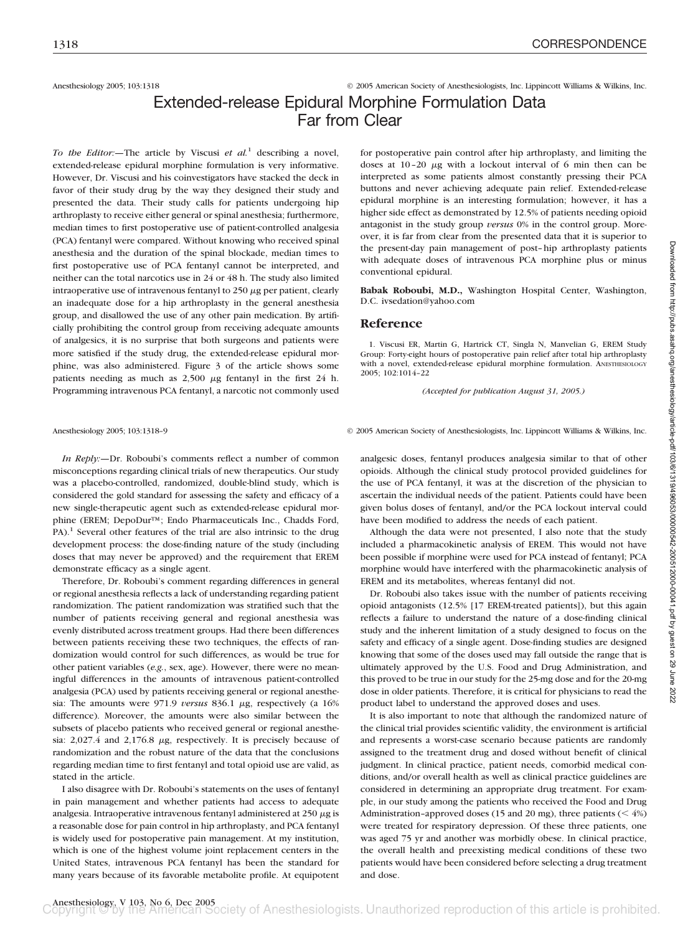Anesthesiology 2005; 103:1318 © 2005 American Society of Anesthesiologists, Inc. Lippincott Williams & Wilkins, Inc.

# Extended-release Epidural Morphine Formulation Data Far from Clear

*To the Editor:—*The article by Viscusi *et al.*<sup>1</sup> describing a novel, extended-release epidural morphine formulation is very informative. However, Dr. Viscusi and his coinvestigators have stacked the deck in favor of their study drug by the way they designed their study and presented the data. Their study calls for patients undergoing hip arthroplasty to receive either general or spinal anesthesia; furthermore, median times to first postoperative use of patient-controlled analgesia (PCA) fentanyl were compared. Without knowing who received spinal anesthesia and the duration of the spinal blockade, median times to first postoperative use of PCA fentanyl cannot be interpreted, and neither can the total narcotics use in 24 or 48 h. The study also limited intraoperative use of intravenous fentanyl to 250 µg per patient, clearly an inadequate dose for a hip arthroplasty in the general anesthesia group, and disallowed the use of any other pain medication. By artificially prohibiting the control group from receiving adequate amounts of analgesics, it is no surprise that both surgeons and patients were more satisfied if the study drug, the extended-release epidural morphine, was also administered. Figure 3 of the article shows some patients needing as much as  $2,500 \mu$ g fentanyl in the first 24 h. Programming intravenous PCA fentanyl, a narcotic not commonly used

*In Reply:—*Dr. Roboubi's comments reflect a number of common misconceptions regarding clinical trials of new therapeutics. Our study was a placebo-controlled, randomized, double-blind study, which is considered the gold standard for assessing the safety and efficacy of a new single-therapeutic agent such as extended-release epidural morphine (EREM; DepoDur™; Endo Pharmaceuticals Inc., Chadds Ford, PA).<sup>1</sup> Several other features of the trial are also intrinsic to the drug development process: the dose-finding nature of the study (including doses that may never be approved) and the requirement that EREM demonstrate efficacy as a single agent.

Therefore, Dr. Roboubi's comment regarding differences in general or regional anesthesia reflects a lack of understanding regarding patient randomization. The patient randomization was stratified such that the number of patients receiving general and regional anesthesia was evenly distributed across treatment groups. Had there been differences between patients receiving these two techniques, the effects of randomization would control for such differences, as would be true for other patient variables (*e.g.*, sex, age). However, there were no meaningful differences in the amounts of intravenous patient-controlled analgesia (PCA) used by patients receiving general or regional anesthesia: The amounts were 971.9 *versus* 836.1 µg, respectively (a 16% difference). Moreover, the amounts were also similar between the subsets of placebo patients who received general or regional anesthesia:  $2,027.4$  and  $2,176.8$   $\mu$ g, respectively. It is precisely because of randomization and the robust nature of the data that the conclusions regarding median time to first fentanyl and total opioid use are valid, as stated in the article.

I also disagree with Dr. Roboubi's statements on the uses of fentanyl in pain management and whether patients had access to adequate analgesia. Intraoperative intravenous fentanyl administered at  $250 \ \mu$ g is a reasonable dose for pain control in hip arthroplasty, and PCA fentanyl is widely used for postoperative pain management. At my institution, which is one of the highest volume joint replacement centers in the United States, intravenous PCA fentanyl has been the standard for many years because of its favorable metabolite profile. At equipotent

for postoperative pain control after hip arthroplasty, and limiting the doses at  $10-20$   $\mu$ g with a lockout interval of 6 min then can be interpreted as some patients almost constantly pressing their PCA buttons and never achieving adequate pain relief. Extended-release epidural morphine is an interesting formulation; however, it has a higher side effect as demonstrated by 12.5% of patients needing opioid antagonist in the study group *versus* 0% in the control group. Moreover, it is far from clear from the presented data that it is superior to the present-day pain management of post–hip arthroplasty patients with adequate doses of intravenous PCA morphine plus or minus conventional epidural.

**Babak Roboubi, M.D.,** Washington Hospital Center, Washington, D.C. ivsedation@yahoo.com

#### **Reference**

1. Viscusi ER, Martin G, Hartrick CT, Singla N, Manvelian G, EREM Study Group: Forty-eight hours of postoperative pain relief after total hip arthroplasty with a novel, extended-release epidural morphine formulation. ANESTHESIOLOGY 2005; 102:1014–22

*(Accepted for publication August 31, 2005.)*

Anesthesiology 2005; 103:1318–9 © 2005 American Society of Anesthesiologists, Inc. Lippincott Williams & Wilkins, Inc.

analgesic doses, fentanyl produces analgesia similar to that of other opioids. Although the clinical study protocol provided guidelines for the use of PCA fentanyl, it was at the discretion of the physician to ascertain the individual needs of the patient. Patients could have been given bolus doses of fentanyl, and/or the PCA lockout interval could have been modified to address the needs of each patient.

Although the data were not presented, I also note that the study included a pharmacokinetic analysis of EREM. This would not have been possible if morphine were used for PCA instead of fentanyl; PCA morphine would have interfered with the pharmacokinetic analysis of EREM and its metabolites, whereas fentanyl did not.

Dr. Roboubi also takes issue with the number of patients receiving opioid antagonists (12.5% [17 EREM-treated patients]), but this again reflects a failure to understand the nature of a dose-finding clinical study and the inherent limitation of a study designed to focus on the safety and efficacy of a single agent. Dose-finding studies are designed knowing that some of the doses used may fall outside the range that is ultimately approved by the U.S. Food and Drug Administration, and this proved to be true in our study for the 25-mg dose and for the 20-mg dose in older patients. Therefore, it is critical for physicians to read the product label to understand the approved doses and uses.

It is also important to note that although the randomized nature of the clinical trial provides scientific validity, the environment is artificial and represents a worst-case scenario because patients are randomly assigned to the treatment drug and dosed without benefit of clinical judgment. In clinical practice, patient needs, comorbid medical conditions, and/or overall health as well as clinical practice guidelines are considered in determining an appropriate drug treatment. For example, in our study among the patients who received the Food and Drug Administration-approved doses (15 and 20 mg), three patients  $(< 4\%)$ were treated for respiratory depression. Of these three patients, one was aged 75 yr and another was morbidly obese. In clinical practice, the overall health and preexisting medical conditions of these two patients would have been considered before selecting a drug treatment and dose.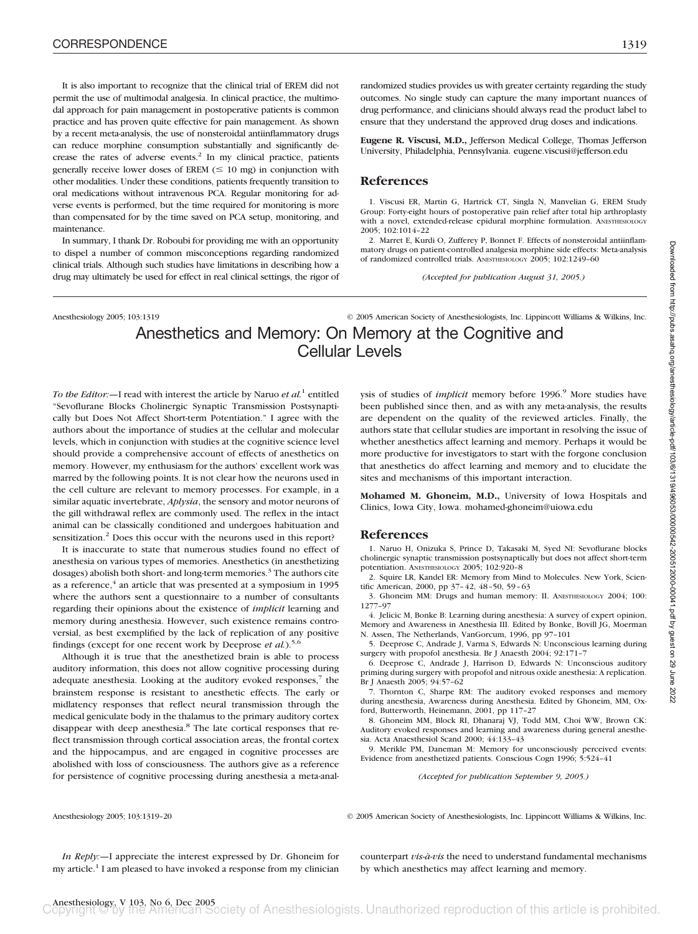It is also important to recognize that the clinical trial of EREM did not permit the use of multimodal analgesia. In clinical practice, the multimodal approach for pain management in postoperative patients is common practice and has proven quite effective for pain management. As shown by a recent meta-analysis, the use of nonsteroidal antiinflammatory drugs can reduce morphine consumption substantially and significantly decrease the rates of adverse events.<sup>2</sup> In my clinical practice, patients generally receive lower doses of EREM  $(\leq 10 \text{ mg})$  in conjunction with other modalities. Under these conditions, patients frequently transition to oral medications without intravenous PCA. Regular monitoring for adverse events is performed, but the time required for monitoring is more than compensated for by the time saved on PCA setup, monitoring, and maintenance.

In summary, I thank Dr. Roboubi for providing me with an opportunity to dispel a number of common misconceptions regarding randomized clinical trials. Although such studies have limitations in describing how a drug may ultimately be used for effect in real clinical settings, the rigor of

randomized studies provides us with greater certainty regarding the study outcomes. No single study can capture the many important nuances of drug performance, and clinicians should always read the product label to ensure that they understand the approved drug doses and indications.

**Eugene R. Viscusi, M.D.,** Jefferson Medical College, Thomas Jefferson University, Philadelphia, Pennsylvania. eugene.viscusi@jefferson.edu

### **References**

1. Viscusi ER, Martin G, Hartrick CT, Singla N, Manvelian G, EREM Study Group: Forty-eight hours of postoperative pain relief after total hip arthroplasty with a novel, extended-release epidural morphine formulation. ANESTHESIOLOGY 2005; 102:1014–22

2. Marret E, Kurdi O, Zufferey P, Bonnet F. Effects of nonsteroidal antiinflammatory drugs on patient-controlled analgesia morphine side effects: Meta-analysis of randomized controlled trials. ANESTHESIOLOGY 2005; 102:1249–60

*(Accepted for publication August 31, 2005.)*

Anesthesiology 2005; 103:1319 © 2005 American Society of Anesthesiologists, Inc. Lippincott Williams & Wilkins, Inc.

# Anesthetics and Memory: On Memory at the Cognitive and Cellular Levels

*To the Editor:—*I read with interest the article by Naruo *et al.*<sup>1</sup> entitled "Sevoflurane Blocks Cholinergic Synaptic Transmission Postsynaptically but Does Not Affect Short-term Potentiation." I agree with the authors about the importance of studies at the cellular and molecular levels, which in conjunction with studies at the cognitive science level should provide a comprehensive account of effects of anesthetics on memory. However, my enthusiasm for the authors' excellent work was marred by the following points. It is not clear how the neurons used in the cell culture are relevant to memory processes. For example, in a similar aquatic invertebrate, *Aplysia*, the sensory and motor neurons of the gill withdrawal reflex are commonly used. The reflex in the intact animal can be classically conditioned and undergoes habituation and sensitization.<sup>2</sup> Does this occur with the neurons used in this report?

It is inaccurate to state that numerous studies found no effect of anesthesia on various types of memories. Anesthetics (in anesthetizing dosages) abolish both short- and long-term memories.<sup>3</sup> The authors cite as a reference, $4$  an article that was presented at a symposium in 1995 where the authors sent a questionnaire to a number of consultants regarding their opinions about the existence of *implicit* learning and memory during anesthesia. However, such existence remains controversial, as best exemplified by the lack of replication of any positive findings (except for one recent work by Deeprose *et al.*).5,6

Although it is true that the anesthetized brain is able to process auditory information, this does not allow cognitive processing during adequate anesthesia. Looking at the auditory evoked responses,<sup>7</sup> the brainstem response is resistant to anesthetic effects. The early or midlatency responses that reflect neural transmission through the medical geniculate body in the thalamus to the primary auditory cortex disappear with deep anesthesia.<sup>8</sup> The late cortical responses that reflect transmission through cortical association areas, the frontal cortex and the hippocampus, and are engaged in cognitive processes are abolished with loss of consciousness. The authors give as a reference for persistence of cognitive processing during anesthesia a meta-analysis of studies of *implicit* memory before 1996.<sup>9</sup> More studies have been published since then, and as with any meta-analysis, the results are dependent on the quality of the reviewed articles. Finally, the authors state that cellular studies are important in resolving the issue of whether anesthetics affect learning and memory. Perhaps it would be more productive for investigators to start with the forgone conclusion that anesthetics do affect learning and memory and to elucidate the sites and mechanisms of this important interaction.

**Mohamed M. Ghoneim, M.D.,** University of Iowa Hospitals and Clinics, Iowa City, Iowa. mohamed-ghoneim@uiowa.edu

### **References**

1. Naruo H, Onizuka S, Prince D, Takasaki M, Syed NI: Sevoflurane blocks cholinergic synaptic transmission postsynaptically but does not affect short-term potentiation. ANESTHESIOLOGY 2005; 102:920–8

2. Squire LR, Kandel ER: Memory from Mind to Molecules. New York, Scientific American, 2000, pp 37–42, 48–50, 59–63

3. Ghoneim MM: Drugs and human memory: II. ANESTHESIOLOGY 2004; 100: 1277–97

4. Jelicic M, Bonke B: Learning during anesthesia: A survey of expert opinion, Memory and Awareness in Anesthesia III. Edited by Bonke, Bovill JG, Moerman N. Assen, The Netherlands, VanGorcum, 1996, pp 97–101

5. Deeprose C, Andrade J, Varma S, Edwards N: Unconscious learning during surgery with propofol anesthesia. Br J Anaesth 2004; 92:171–7

6. Deeprose C, Andrade J, Harrison D, Edwards N: Unconscious auditory priming during surgery with propofol and nitrous oxide anesthesia: A replication. Br J Anaesth 2005; 94:57–62

7. Thornton C, Sharpe RM: The auditory evoked responses and memory during anesthesia, Awareness during Anesthesia. Edited by Ghoneim, MM, Oxford, Butterworth, Heinemann, 2001, pp 117–27

8. Ghoneim MM, Block RI, Dhanaraj VJ, Todd MM, Choi WW, Brown CK: Auditory evoked responses and learning and awareness during general anesthesia. Acta Anaesthesiol Scand 2000; 44:133–43

9. Merikle PM, Daneman M: Memory for unconsciously perceived events: Evidence from anesthetized patients. Conscious Cogn 1996; 5:524–41

*(Accepted for publication September 9, 2005.)*

Anesthesiology 2005; 103:1319–20 © 2005 American Society of Anesthesiologists, Inc. Lippincott Williams & Wilkins, Inc.

*In Reply:—*I appreciate the interest expressed by Dr. Ghoneim for my article.1 I am pleased to have invoked a response from my clinician

counterpart *vis-a`-vis* the need to understand fundamental mechanisms by which anesthetics may affect learning and memory.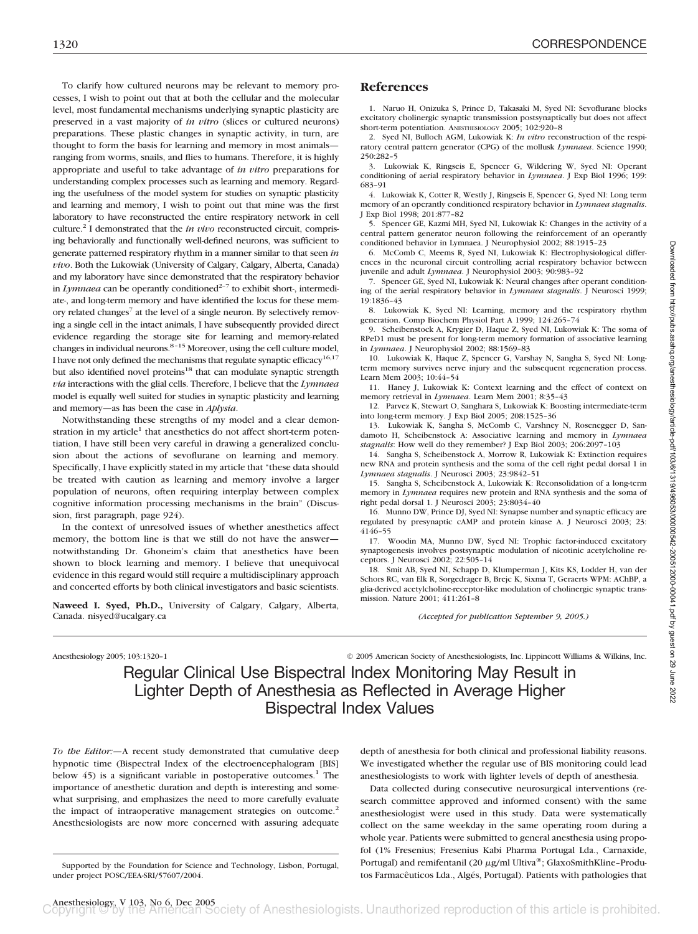To clarify how cultured neurons may be relevant to memory processes, I wish to point out that at both the cellular and the molecular level, most fundamental mechanisms underlying synaptic plasticity are preserved in a vast majority of *in vitro* (slices or cultured neurons) preparations. These plastic changes in synaptic activity, in turn, are thought to form the basis for learning and memory in most animals ranging from worms, snails, and flies to humans. Therefore, it is highly appropriate and useful to take advantage of *in vitro* preparations for understanding complex processes such as learning and memory. Regarding the usefulness of the model system for studies on synaptic plasticity and learning and memory, I wish to point out that mine was the first laboratory to have reconstructed the entire respiratory network in cell culture.2 I demonstrated that the *in vivo* reconstructed circuit, comprising behaviorally and functionally well-defined neurons, was sufficient to generate patterned respiratory rhythm in a manner similar to that seen *in vivo*. Both the Lukowiak (University of Calgary, Calgary, Alberta, Canada) and my laboratory have since demonstrated that the respiratory behavior in *Lymnaea* can be operantly conditioned<sup> $2-7$ </sup> to exhibit short-, intermediate-, and long-term memory and have identified the locus for these memory related changes<sup>7</sup> at the level of a single neuron. By selectively removing a single cell in the intact animals, I have subsequently provided direct evidence regarding the storage site for learning and memory-related changes in individual neurons. $8-15$  Moreover, using the cell culture model, I have not only defined the mechanisms that regulate synaptic efficacy<sup>16,17</sup> but also identified novel proteins<sup>18</sup> that can modulate synaptic strength *via* interactions with the glial cells. Therefore, I believe that the *Lymnaea* model is equally well suited for studies in synaptic plasticity and learning and memory—as has been the case in *Aplysia*.

Notwithstanding these strengths of my model and a clear demonstration in my article<sup>1</sup> that anesthetics do not affect short-term potentiation, I have still been very careful in drawing a generalized conclusion about the actions of sevoflurane on learning and memory. Specifically, I have explicitly stated in my article that "these data should be treated with caution as learning and memory involve a larger population of neurons, often requiring interplay between complex cognitive information processing mechanisms in the brain" (Discussion, first paragraph, page 924).

In the context of unresolved issues of whether anesthetics affect memory, the bottom line is that we still do not have the answer notwithstanding Dr. Ghoneim's claim that anesthetics have been shown to block learning and memory. I believe that unequivocal evidence in this regard would still require a multidisciplinary approach and concerted efforts by both clinical investigators and basic scientists.

**Naweed I. Syed, Ph.D.,** University of Calgary, Calgary, Alberta, Canada. nisyed@ucalgary.ca

## **References**

1. Naruo H, Onizuka S, Prince D, Takasaki M, Syed NI: Sevoflurane blocks excitatory cholinergic synaptic transmission postsynaptically but does not affect short-term potentiation. ANESTHESIOLOGY 2005; 102:920–8

2. Syed NI, Bulloch AGM, Lukowiak K: *In vitro* reconstruction of the respiratory central pattern generator (CPG) of the mollusk *Lymnaea*. Science 1990; 250:282–5

3. Lukowiak K, Ringseis E, Spencer G, Wildering W, Syed NI: Operant conditioning of aerial respiratory behavior in *Lymnaea*. J Exp Biol 1996; 199: 683–91

4. Lukowiak K, Cotter R, Westly J, Ringseis E, Spencer G, Syed NI: Long term memory of an operantly conditioned respiratory behavior in *Lymnaea stagnalis*. J Exp Biol 1998; 201:877–82

5. Spencer GE, Kazmi MH, Syed NI, Lukowiak K: Changes in the activity of a central pattern generator neuron following the reinforcement of an operantly conditioned behavior in Lymnaea. J Neurophysiol 2002; 88:1915–23

6. McComb C, Meems R, Syed NI, Lukowiak K: Electrophysiological differences in the neuronal circuit controlling aerial respiratory behavior between juvenile and adult *Lymnaea*. J Neurophysiol 2003; 90:983–92

7. Spencer GE, Syed NI, Lukowiak K: Neural changes after operant conditioning of the aerial respiratory behavior in *Lymnaea stagnalis*. J Neurosci 1999; 19:1836–43

8. Lukowiak K, Syed NI: Learning, memory and the respiratory rhythm generation. Comp Biochem Physiol Part A 1999; 124:265–74

9. Scheibenstock A, Krygier D, Haque Z, Syed NI, Lukowiak K: The soma of RPeD1 must be present for long-term memory formation of associative learning in *Lymnaea*. J Neurophysiol 2002; 88:1569–83

10. Lukowiak K, Haque Z, Spencer G, Varshay N, Sangha S, Syed NI: Longterm memory survives nerve injury and the subsequent regeneration process. Learn Mem 2003; 10:44–54

11. Haney J, Lukowiak K: Context learning and the effect of context on memory retrieval in *Lymnaea*. Learn Mem 2001; 8:35–43

12. Parvez K, Stewart O, Sanghara S, Lukowiak K: Boosting intermediate-term into long-term memory. J Exp Biol 2005; 208:1525–36

13. Lukowiak K, Sangha S, McComb C, Varshney N, Rosenegger D, Sandamoto H, Scheibenstock A: Associative learning and memory in *Lymnaea stagnalis*: How well do they remember? J Exp Biol 2003; 206:2097–103

14. Sangha S, Scheibenstock A, Morrow R, Lukowiak K: Extinction requires new RNA and protein synthesis and the soma of the cell right pedal dorsal 1 in *Lymnaea stagnalis*. J Neurosci 2003; 23:9842–51

15. Sangha S, Scheibenstock A, Lukowiak K: Reconsolidation of a long-term memory in *Lymnaea* requires new protein and RNA synthesis and the soma of right pedal dorsal 1. J Neurosci 2003; 23:8034–40

16. Munno DW, Prince DJ, Syed NI: Synapse number and synaptic efficacy are regulated by presynaptic cAMP and protein kinase A. J Neurosci 2003; 23: 4146–55

17. Woodin MA, Munno DW, Syed NI: Trophic factor-induced excitatory synaptogenesis involves postsynaptic modulation of nicotinic acetylcholine receptors. J Neurosci 2002; 22:505–14

18. Smit AB, Syed NI, Schapp D, Klumperman J, Kits KS, Lodder H, van der Schors RC, van Elk R, Sorgedrager B, Brejc K, Sixma T, Geraerts WPM: AChBP, a glia-derived acetylcholine-receptor-like modulation of cholinergic synaptic transmission. Nature 2001; 411:261–8

*(Accepted for publication September 9, 2005.)*

Anesthesiology 2005; 103:1320–1 © 2005 American Society of Anesthesiologists, Inc. Lippincott Williams & Wilkins, Inc.

Regular Clinical Use Bispectral Index Monitoring May Result in Lighter Depth of Anesthesia as Reflected in Average Higher Bispectral Index Values

*To the Editor:—*A recent study demonstrated that cumulative deep hypnotic time (Bispectral Index of the electroencephalogram [BIS] below  $45$ ) is a significant variable in postoperative outcomes.<sup>1</sup> The importance of anesthetic duration and depth is interesting and somewhat surprising, and emphasizes the need to more carefully evaluate the impact of intraoperative management strategies on outcome.<sup>2</sup> Anesthesiologists are now more concerned with assuring adequate depth of anesthesia for both clinical and professional liability reasons. We investigated whether the regular use of BIS monitoring could lead anesthesiologists to work with lighter levels of depth of anesthesia.

Data collected during consecutive neurosurgical interventions (research committee approved and informed consent) with the same anesthesiologist were used in this study. Data were systematically collect on the same weekday in the same operating room during a whole year. Patients were submitted to general anesthesia using propofol (1% Fresenius; Fresenius Kabi Pharma Portugal Lda., Carnaxide, Portugal) and remifentanil (20 µg/ml Ultiva®; GlaxoSmithKline-Produtos Farmacêuticos Lda., Algés, Portugal). Patients with pathologies that

Supported by the Foundation for Science and Technology, Lisbon, Portugal, under project POSC/EEA-SRI/57607/2004.